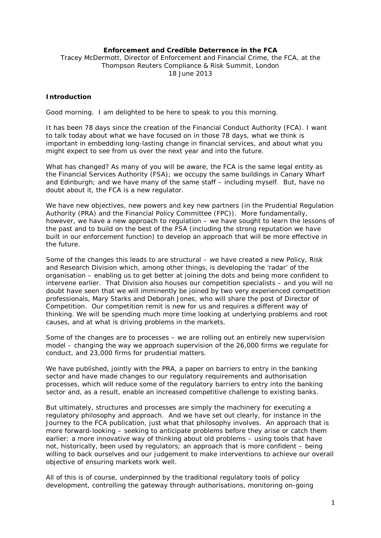# **Enforcement and Credible Deterrence in the FCA**

Tracey McDermott, Director of Enforcement and Financial Crime, the FCA, at the Thompson Reuters Compliance & Risk Summit, London 18 June 2013

# **Introduction**

Good morning. I am delighted to be here to speak to you this morning.

It has been 78 days since the creation of the Financial Conduct Authority (FCA). I want to talk today about what we have focused on in those 78 days, what we think is important in embedding long-lasting change in financial services, and about what you might expect to see from us over the next year and into the future.

What has changed? As many of you will be aware, the FCA is the same legal entity as the Financial Services Authority (FSA); we occupy the same buildings in Canary Wharf and Edinburgh; and we have many of the same staff – including myself. But, have no doubt about it, the FCA is a new regulator.

We have new objectives, new powers and key new partners (in the Prudential Regulation Authority (PRA) and the Financial Policy Committee (FPC)). More fundamentally, however, we have a new approach to regulation – we have sought to learn the lessons of the past and to build on the best of the FSA (including the strong reputation we have built in our enforcement function) to develop an approach that will be more effective in the future.

Some of the changes this leads to are structural – we have created a new Policy, Risk and Research Division which, among other things, is developing the 'radar' of the organisation – enabling us to get better at joining the dots and being more confident to intervene earlier. That Division also houses our competition specialists – and you will no doubt have seen that we will imminently be joined by two very experienced competition professionals, Mary Starks and Deborah Jones, who will share the post of Director of Competition. Our competition remit is new for us and requires a different way of thinking. We will be spending much more time looking at underlying problems and root causes, and at what is driving problems in the markets.

Some of the changes are to processes – we are rolling out an entirely new supervision model – changing the way we approach supervision of the 26,000 firms we regulate for conduct, and 23,000 firms for prudential matters.

We have published, jointly with the PRA, a paper on barriers to entry in the banking sector and have made changes to our regulatory requirements and authorisation processes, which will reduce some of the regulatory barriers to entry into the banking sector and, as a result, enable an increased competitive challenge to existing banks.

But ultimately, structures and processes are simply the machinery for executing a regulatory philosophy and approach. And we have set out clearly, for instance in the *Journey to the FCA* publication, just what that philosophy involves. An approach that is more forward-looking – seeking to anticipate problems before they arise or catch them earlier; a more innovative way of thinking about old problems – using tools that have not, historically, been used by regulators; an approach that is more confident – being willing to back ourselves and our judgement to make interventions to achieve our overall objective of ensuring markets work well.

All of this is of course, underpinned by the traditional regulatory tools of policy development, controlling the gateway through authorisations, monitoring on-going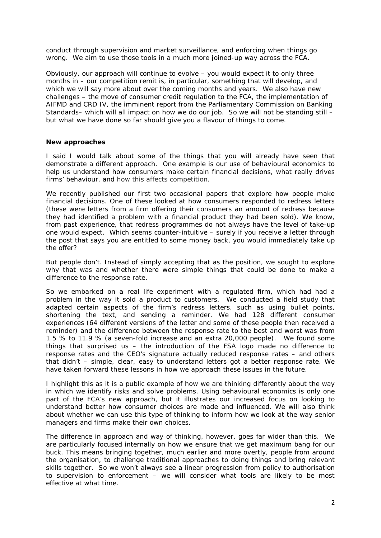conduct through supervision and market surveillance, and enforcing when things go wrong. We aim to use those tools in a much more joined-up way across the FCA.

Obviously, our approach will continue to evolve – you would expect it to only three months in – our competition remit is, in particular, something that will develop, and which we will say more about over the coming months and years. We also have new challenges – the move of consumer credit regulation to the FCA, the implementation of AIFMD and CRD IV, the imminent report from the Parliamentary Commission on Banking Standards– which will all impact on how we do our job. So we will not be standing still – but what we have done so far should give you a flavour of things to come.

#### **New approaches**

I said I would talk about some of the things that you will already have seen that demonstrate a different approach. One example is our use of behavioural economics to help us understand how consumers make certain financial decisions, what really drives firms' behaviour, and how this affects competition.

We recently published our first two occasional papers that explore how people make financial decisions. One of these looked at how consumers responded to redress letters (these were letters from a firm offering their consumers an amount of redress because they had identified a problem with a financial product they had been sold). We know, from past experience, that redress programmes do not always have the level of take-up one would expect. Which seems counter-intuitive – surely if you receive a letter through the post that says you are entitled to some money back, you would immediately take up the offer?

But people don't. Instead of simply accepting that as the position, we sought to explore why that was and whether there were simple things that could be done to make a difference to the response rate.

So we embarked on a real life experiment with a regulated firm, which had had a problem in the way it sold a product to customers. We conducted a field study that adapted certain aspects of the firm's redress letters, such as using bullet points, shortening the text, and sending a reminder. We had 128 different consumer experiences (64 different versions of the letter and some of these people then received a reminder) and the difference between the response rate to the best and worst was from 1.5 % to 11.9 % (a seven-fold increase and an extra 20,000 people). We found some things that surprised us – the introduction of the FSA logo made no difference to response rates and the CEO's signature actually reduced response rates – and others that didn't – simple, clear, easy to understand letters got a better response rate. We have taken forward these lessons in how we approach these issues in the future.

I highlight this as it is a public example of how we are thinking differently about the way in which we identify risks and solve problems. Using behavioural economics is only one part of the FCA's new approach, but it illustrates our increased focus on looking to understand better how consumer choices are made and influenced. We will also think about whether we can use this type of thinking to inform how we look at the way senior managers and firms make their own choices.

The difference in approach and way of thinking, however, goes far wider than this. We are particularly focused internally on how we ensure that we get maximum bang for our buck. This means bringing together, much earlier and more overtly, people from around the organisation, to challenge traditional approaches to doing things and bring relevant skills together. So we won't always see a linear progression from policy to authorisation to supervision to enforcement – we will consider what tools are likely to be most effective at what time.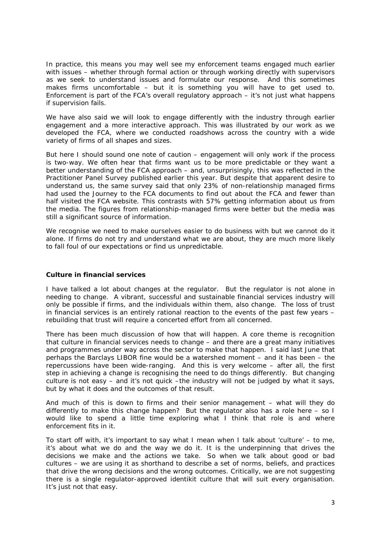In practice, this means you may well see my enforcement teams engaged much earlier with issues – whether through formal action or through working directly with supervisors as we seek to understand issues and formulate our response. And this sometimes makes firms uncomfortable – but it is something you will have to get used to. Enforcement is part of the FCA's overall regulatory approach – it's not just what happens if supervision fails.

We have also said we will look to engage differently with the industry through earlier engagement and a more interactive approach. This was illustrated by our work as we developed the FCA, where we conducted roadshows across the country with a wide variety of firms of all shapes and sizes.

But here I should sound one note of caution – engagement will only work if the process is two-way. We often hear that firms want us to be more predictable or they want a better understanding of the FCA approach – and, unsurprisingly, this was reflected in the Practitioner Panel Survey published earlier this year. But despite that apparent desire to understand us, the same survey said that only 23% of non-relationship managed firms had used the *Journey to the FCA* documents to find out about the FCA and fewer than half visited the FCA website. This contrasts with 57% getting information about us from the media. The figures from relationship-managed firms were better but the media was still a significant source of information.

We recognise we need to make ourselves easier to do business with but we cannot do it alone. If firms do not try and understand what we are about, they are much more likely to fall foul of our expectations or find us unpredictable.

### **Culture in financial services**

I have talked a lot about changes at the regulator. But the regulator is not alone in needing to change. A vibrant, successful and sustainable financial services industry will only be possible if firms, and the individuals within them, also change. The loss of trust in financial services is an entirely rational reaction to the events of the past few years – rebuilding that trust will require a concerted effort from all concerned.

There has been much discussion of how that will happen. A core theme is recognition that culture in financial services needs to change – and there are a great many initiatives and programmes under way across the sector to make that happen. I said last June that perhaps the Barclays LIBOR fine would be a watershed moment – and it has been – the repercussions have been wide-ranging. And this is very welcome – after all, the first step in achieving a change is recognising the need to do things differently. But changing culture is not easy – and it's not quick –the industry will not be judged by what it says, but by what it does and the outcomes of that result.

And much of this is down to firms and their senior management – what will they do differently to make this change happen? But the regulator also has a role here – so I would like to spend a little time exploring what I think that role is and where enforcement fits in it.

To start off with, it's important to say what I mean when I talk about 'culture' – to me, it's about what we do and the way we do it. It is the underpinning that drives the decisions we make and the actions we take. So when we talk about good or bad cultures – we are using it as shorthand to describe a set of norms, beliefs, and practices that drive the wrong decisions and the wrong outcomes. Critically, we are not suggesting there is a single regulator-approved identikit culture that will suit every organisation. It's just not that easy.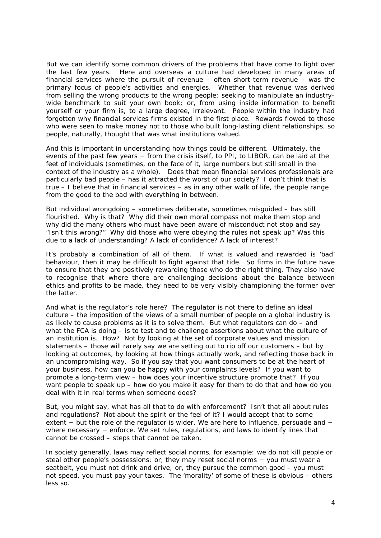But we can identify some common drivers of the problems that have come to light over the last few years. Here and overseas a culture had developed in many areas of financial services where the pursuit of revenue – often short-term revenue – was the primary focus of people's activities and energies. Whether that revenue was derived from selling the wrong products to the wrong people; seeking to manipulate an industrywide benchmark to suit your own book; or, from using inside information to benefit yourself or your firm is, to a large degree, irrelevant. People within the industry had forgotten why financial services firms existed in the first place. Rewards flowed to those who were seen to make money not to those who built long-lasting client relationships, so people, naturally, thought that was what institutions valued.

And this is important in understanding how things could be different. Ultimately, the events of the past few years − from the crisis itself, to PPI, to LIBOR, can be laid at the feet of individuals (sometimes, on the face of it, large numbers but still small in the context of the industry as a whole). Does that mean financial services professionals are particularly bad people – has it attracted the worst of our society? I don't think that is true – I believe that in financial services – as in any other walk of life, the people range from the good to the bad with everything in between.

But individual wrongdoing – sometimes deliberate, sometimes misguided – has still flourished. Why is that? Why did their own moral compass not make them stop and why did the many others who must have been aware of misconduct not stop and say "Isn't this wrong?" Why did those who were obeying the rules not speak up? Was this due to a lack of understanding? A lack of confidence? A lack of interest?

It's probably a combination of all of them. If what is valued and rewarded is 'bad' behaviour, then it may be difficult to fight against that tide. So firms in the future have to ensure that they are positively rewarding those who do the right thing. They also have to recognise that where there are challenging decisions about the balance between ethics and profits to be made, they need to be very visibly championing the former over the latter.

And what is the regulator's role here? The regulator is not there to define an ideal culture – the imposition of the views of a small number of people on a global industry is as likely to cause problems as it is to solve them. But what regulators can do – and what the FCA is doing – is to test and to challenge assertions about what the culture of an institution is. How? Not by looking at the set of corporate values and mission statements – those will rarely say we are setting out to rip off our customers – but by looking at outcomes, by looking at how things actually work, and reflecting those back in an uncompromising way. So if you say that you want consumers to be at the heart of your business, how can you be happy with your complaints levels? If you want to promote a long-term view – how does your incentive structure promote that? If you want people to speak up – how do you make it easy for them to do that and how do you deal with it in real terms when someone does?

But, you might say, what has all that to do with enforcement? Isn't that all about rules and regulations? Not about the spirit or the feel of it? I would accept that to some extent − but the role of the regulator is wider. We are here to influence, persuade and − where necessary - enforce. We set rules, regulations, and laws to identify lines that cannot be crossed – steps that cannot be taken.

In society generally, laws may reflect social norms, for example: we do not kill people or steal other people's possessions; or, they may reset social norms − you must wear a seatbelt, you must not drink and drive; or, they pursue the common good – you must not speed, you must pay your taxes. The 'morality' of some of these is obvious – others less so.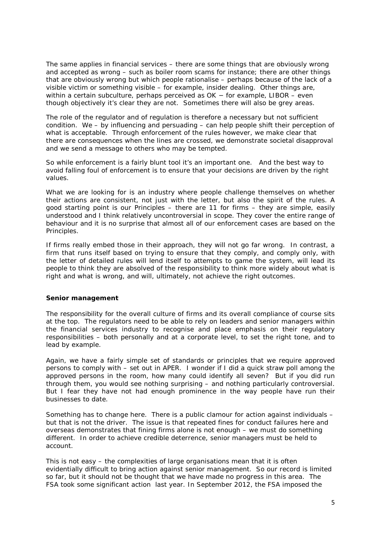The same applies in financial services – there are some things that are obviously wrong and accepted as wrong – such as boiler room scams for instance; there are other things that are obviously wrong but which people rationalise – perhaps because of the lack of a visible victim or something visible – for example, insider dealing. Other things are, within a certain subculture, perhaps perceived as OK – for example, LIBOR – even though objectively it's clear they are not. Sometimes there will also be grey areas.

The role of the regulator and of regulation is therefore a necessary but not sufficient condition. We – by influencing and persuading – can help people shift their perception of what is acceptable. Through enforcement of the rules however, we make clear that there are consequences when the lines are crossed, we demonstrate societal disapproval and we send a message to others who may be tempted.

So while enforcement is a fairly blunt tool it's an important one. And the best way to avoid falling foul of enforcement is to ensure that your decisions are driven by the right values.

What we are looking for is an industry where people challenge themselves on whether their actions are consistent, not just with the letter, but also the spirit of the rules. A good starting point is our Principles – there are 11 for firms – they are simple, easily understood and I think relatively uncontroversial in scope. They cover the entire range of behaviour and it is no surprise that almost all of our enforcement cases are based on the Principles.

If firms really embed those in their approach, they will not go far wrong. In contrast, a firm that runs itself based on trying to ensure that they comply, and comply only, with the letter of detailed rules will lend itself to attempts to game the system, will lead its people to think they are absolved of the responsibility to think more widely about what is right and what is wrong, and will, ultimately, not achieve the right outcomes.

### **Senior management**

The responsibility for the overall culture of firms and its overall compliance of course sits at the top. The regulators need to be able to rely on leaders and senior managers within the financial services industry to recognise and place emphasis on their regulatory responsibilities – both personally and at a corporate level, to set the right tone, and to lead by example.

Again, we have a fairly simple set of standards or principles that we require approved persons to comply with – set out in APER. I wonder if I did a quick straw poll among the approved persons in the room, how many could identify all seven? But if you did run through them, you would see nothing surprising – and nothing particularly controversial. But I fear they have not had enough prominence in the way people have run their businesses to date.

Something has to change here. There is a public clamour for action against individuals – but that is not the driver. The issue is that repeated fines for conduct failures here and overseas demonstrates that fining firms alone is not enough – we must do something different. In order to achieve credible deterrence, senior managers must be held to account.

This is not easy – the complexities of large organisations mean that it is often evidentially difficult to bring action against senior management. So our record is limited so far, but it should not be thought that we have made no progress in this area. The FSA took some significant action last year. In September 2012, the FSA imposed the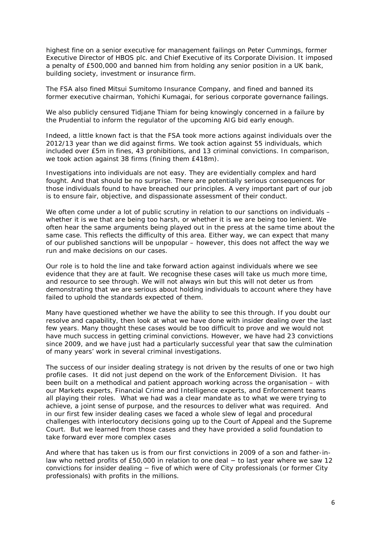highest fine on a senior executive for management failings on Peter Cummings, former Executive Director of HBOS plc. and Chief Executive of its Corporate Division. It imposed a penalty of £500,000 and banned him from holding any senior position in a UK bank, building society, investment or insurance firm.

The FSA also fined Mitsui Sumitomo Insurance Company, and fined and banned its former executive chairman, Yohichi Kumagai, for serious corporate governance failings.

We also publicly censured Tidjane Thiam for being knowingly concerned in a failure by the Prudential to inform the regulator of the upcoming AIG bid early enough.

Indeed, a little known fact is that the FSA took more actions against individuals over the 2012/13 year than we did against firms. We took action against 55 individuals, which included over £5m in fines, 43 prohibitions, and 13 criminal convictions. In comparison, we took action against 38 firms (fining them £418m).

Investigations into individuals are not easy. They are evidentially complex and hard fought. And that should be no surprise. There are potentially serious consequences for those individuals found to have breached our principles. A very important part of our job is to ensure fair, objective, and dispassionate assessment of their conduct.

We often come under a lot of public scrutiny in relation to our sanctions on individuals – whether it is we that are being too harsh, or whether it is we are being too lenient. We often hear the same arguments being played out in the press at the same time about the same case. This reflects the difficulty of this area. Either way, we can expect that many of our published sanctions will be unpopular – however, this does not affect the way we run and make decisions on our cases.

Our role is to hold the line and take forward action against individuals where we see evidence that they are at fault. We recognise these cases will take us much more time, and resource to see through. We will not always win but this will not deter us from demonstrating that we are serious about holding individuals to account where they have failed to uphold the standards expected of them.

Many have questioned whether we have the ability to see this through. If you doubt our resolve and capability, then look at what we have done with insider dealing over the last few years. Many thought these cases would be too difficult to prove and we would not have much success in getting criminal convictions. However, we have had 23 convictions since 2009, and we have just had a particularly successful year that saw the culmination of many years' work in several criminal investigations.

The success of our insider dealing strategy is not driven by the results of one or two high profile cases. It did not just depend on the work of the Enforcement Division. It has been built on a methodical and patient approach working across the organisation – with our Markets experts, Financial Crime and Intelligence experts, and Enforcement teams all playing their roles. What we had was a clear mandate as to what we were trying to achieve, a joint sense of purpose, and the resources to deliver what was required. And in our first few insider dealing cases we faced a whole slew of legal and procedural challenges with interlocutory decisions going up to the Court of Appeal and the Supreme Court. But we learned from those cases and they have provided a solid foundation to take forward ever more complex cases

And where that has taken us is from our first convictions in 2009 of a son and father-inlaw who netted profits of £50,000 in relation to one deal − to last year where we saw 12 convictions for insider dealing − five of which were of City professionals (or former City professionals) with profits in the millions.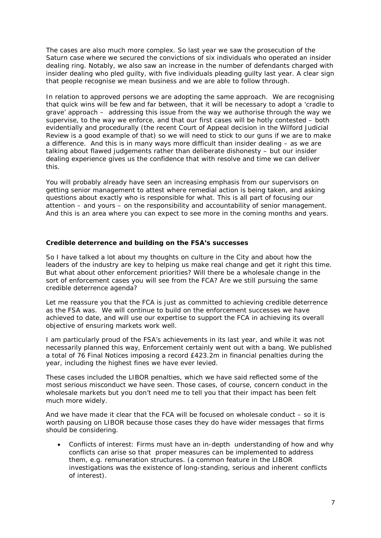The cases are also much more complex. So last year we saw the prosecution of the Saturn case where we secured the convictions of six individuals who operated an insider dealing ring. Notably, we also saw an increase in the number of defendants charged with insider dealing who pled guilty, with five individuals pleading guilty last year. A clear sign that people recognise we mean business and we are able to follow through.

In relation to approved persons we are adopting the same approach. We are recognising that quick wins will be few and far between, that it will be necessary to adopt a 'cradle to grave' approach – addressing this issue from the way we authorise through the way we supervise, to the way we enforce, and that our first cases will be hotly contested – both evidentially and procedurally (the recent Court of Appeal decision in the Wilford Judicial Review is a good example of that) so we will need to stick to our guns if we are to make a difference. And this is in many ways more difficult than insider dealing – as we are talking about flawed judgements rather than deliberate dishonesty – but our insider dealing experience gives us the confidence that with resolve and time we can deliver this.

You will probably already have seen an increasing emphasis from our supervisors on getting senior management to attest where remedial action is being taken, and asking questions about exactly who is responsible for what. This is all part of focusing our attention – and yours – on the responsibility and accountability of senior management. And this is an area where you can expect to see more in the coming months and years.

### **Credible deterrence and building on the FSA's successes**

So I have talked a lot about my thoughts on culture in the City and about how the leaders of the industry are key to helping us make real change and get it right this time. But what about other enforcement priorities? Will there be a wholesale change in the sort of enforcement cases you will see from the FCA? Are we still pursuing the same credible deterrence agenda?

Let me reassure you that the FCA is just as committed to achieving credible deterrence as the FSA was. We will continue to build on the enforcement successes we have achieved to date, and will use our expertise to support the FCA in achieving its overall objective of ensuring markets work well.

I am particularly proud of the FSA's achievements in its last year, and while it was not necessarily planned this way, Enforcement certainly went out with a bang. We published a total of 76 Final Notices imposing a record £423.2m in financial penalties during the year, including the highest fines we have ever levied.

These cases included the LIBOR penalties, which we have said reflected some of the most serious misconduct we have seen. Those cases, of course, concern conduct in the wholesale markets but you don't need me to tell you that their impact has been felt much more widely.

And we have made it clear that the FCA will be focused on wholesale conduct – so it is worth pausing on LIBOR because those cases they do have wider messages that firms should be considering.

• Conflicts of interest: Firms must have an in-depth understanding of how and why conflicts can arise so that proper measures can be implemented to address them, e.g. remuneration structures. (a common feature in the LIBOR investigations was the existence of long-standing, serious and inherent conflicts of interest).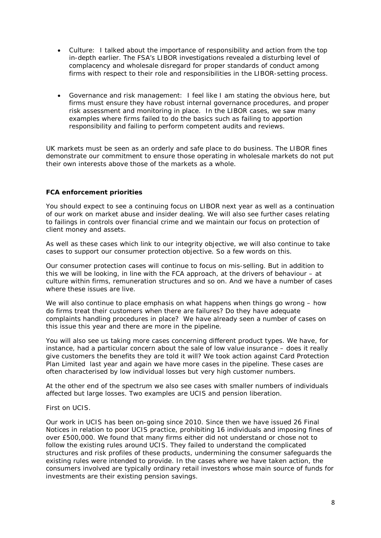- Culture: I talked about the importance of responsibility and action from the top in-depth earlier. The FSA's LIBOR investigations revealed a disturbing level of complacency and wholesale disregard for proper standards of conduct among firms with respect to their role and responsibilities in the LIBOR-setting process.
- Governance and risk management: I feel like I am stating the obvious here, but firms must ensure they have robust internal governance procedures, and proper risk assessment and monitoring in place. In the LIBOR cases, we saw many examples where firms failed to do the basics such as failing to apportion responsibility and failing to perform competent audits and reviews.

UK markets must be seen as an orderly and safe place to do business. The LIBOR fines demonstrate our commitment to ensure those operating in wholesale markets do not put their own interests above those of the markets as a whole.

# **FCA enforcement priorities**

You should expect to see a continuing focus on LIBOR next year as well as a continuation of our work on market abuse and insider dealing. We will also see further cases relating to failings in controls over financial crime and we maintain our focus on protection of client money and assets.

As well as these cases which link to our integrity objective, we will also continue to take cases to support our consumer protection objective. So a few words on this.

Our consumer protection cases will continue to focus on mis-selling. But in addition to this we will be looking, in line with the FCA approach, at the drivers of behaviour – at culture within firms, remuneration structures and so on. And we have a number of cases where these issues are live.

We will also continue to place emphasis on what happens when things go wrong – how do firms treat their customers when there are failures? Do they have adequate complaints handling procedures in place? We have already seen a number of cases on this issue this year and there are more in the pipeline.

You will also see us taking more cases concerning different product types. We have, for instance, had a particular concern about the sale of low value insurance – does it really give customers the benefits they are told it will? We took action against Card Protection Plan Limited last year and again we have more cases in the pipeline. These cases are often characterised by low individual losses but very high customer numbers.

At the other end of the spectrum we also see cases with smaller numbers of individuals affected but large losses. Two examples are UCIS and pension liberation.

### First on UCIS.

Our work in UCIS has been on-going since 2010. Since then we have issued 26 Final Notices in relation to poor UCIS practice, prohibiting 16 individuals and imposing fines of over £500,000. We found that many firms either did not understand or chose not to follow the existing rules around UCIS. They failed to understand the complicated structures and risk profiles of these products, undermining the consumer safeguards the existing rules were intended to provide. In the cases where we have taken action, the consumers involved are typically ordinary retail investors whose main source of funds for investments are their existing pension savings.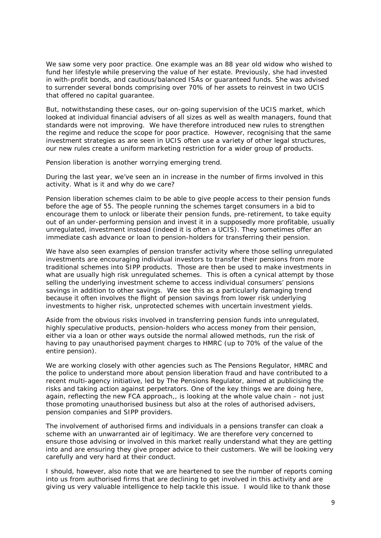We saw some very poor practice. One example was an 88 year old widow who wished to fund her lifestyle while preserving the value of her estate. Previously, she had invested in with-profit bonds, and cautious/balanced ISAs or guaranteed funds. She was advised to surrender several bonds comprising over 70% of her assets to reinvest in two UCIS that offered no capital guarantee.

But, notwithstanding these cases, our on-going supervi*s*ion of the UCIS market, which looked at individual financial advisers of all sizes as well as wealth managers, found that standards were not improving. We have therefore introduced new rules to strengthen the regime and reduce the scope for poor practice. However, recognising that the same investment strategies as are seen in UCIS often use a variety of other legal structures, our new rules create a uniform marketing restriction for a wider group of products.

Pension liberation is another worrying emerging trend.

During the last year, we've seen an in increase in the number of firms involved in this activity. What is it and why do we care?

Pension liberation schemes claim to be able to give people access to their pension funds before the age of 55. The people running the schemes target consumers in a bid to encourage them to unlock or liberate their pension funds, pre-retirement, to take equity out of an under-performing pension and invest it in a supposedly more profitable, usually unregulated, investment instead (indeed it is often a UCIS). They sometimes offer an immediate cash advance or loan to pension-holders for transferring their pension.

We have also seen examples of pension transfer activity where those selling unregulated investments are encouraging individual investors to transfer their pensions from more traditional schemes into SIPP products. Those are then be used to make investments in what are usually high risk unregulated schemes. This is often a cynical attempt by those selling the underlying investment scheme to access individual consumers' pensions savings in addition to other savings. We see this as a particularly damaging trend because it often involves the flight of pension savings from lower risk underlying investments to higher risk, unprotected schemes with uncertain investment yields.

Aside from the obvious risks involved in transferring pension funds into unregulated, highly speculative products, pension-holders who access money from their pension, either via a loan or other ways outside the normal allowed methods, run the risk of having to pay unauthorised payment charges to HMRC (up to 70% of the value of the entire pension).

We are working closely with other agencies such as The Pensions Regulator, HMRC and the police to understand more about pension liberation fraud and have contributed to a recent multi-agency initiative, led by The Pensions Regulator, aimed at publicising the risks and taking action against perpetrators. One of the key things we are doing here, again, reflecting the new FCA approach,, is looking at the whole value chain – not just those promoting unauthorised business but also at the roles of authorised advisers, pension companies and SIPP providers.

The involvement of authorised firms and individuals in a pensions transfer can cloak a scheme with an unwarranted air of legitimacy. We are therefore very concerned to ensure those advising or involved in this market really understand what they are getting into and are ensuring they give proper advice to their customers. We will be looking very carefully and very hard at their conduct.

I should, however, also note that we are heartened to see the number of reports coming into us from authorised firms that are declining to get involved in this activity and are giving us very valuable intelligence to help tackle this issue. I would like to thank those